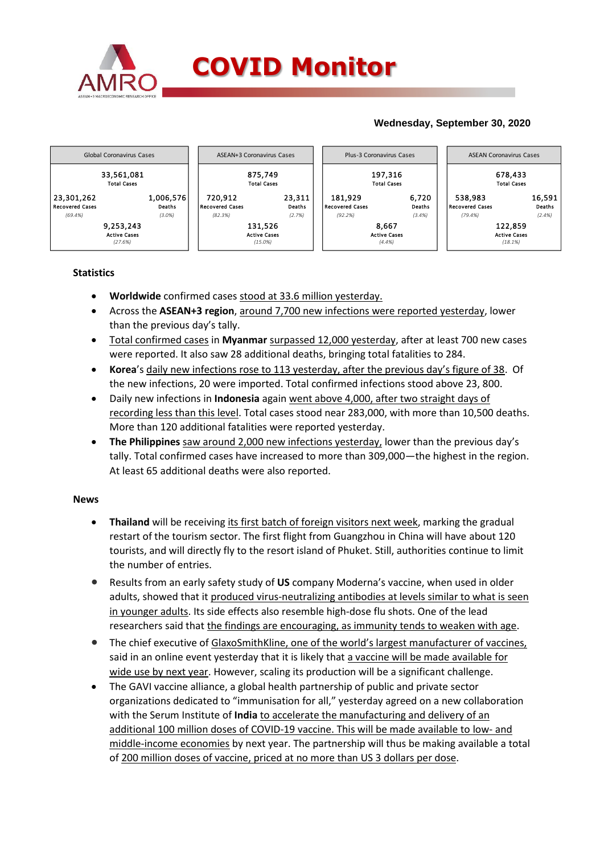

## **Wednesday, September 30, 2020**



## **Statistics**

- **Worldwide** confirmed cases stood at 33.6 million yesterday.
- Across the **ASEAN+3 region**, around 7,700 new infections were reported yesterday, lower than the previous day's tally.
- Total confirmed cases in **Myanmar** surpassed 12,000 yesterday, after at least 700 new cases were reported. It also saw 28 additional deaths, bringing total fatalities to 284.
- **Korea**'s daily new infections rose to 113 yesterday, after the previous day's figure of 38. Of the new infections, 20 were imported. Total confirmed infections stood above 23, 800.
- Daily new infections in **Indonesia** again went above 4,000, after two straight days of recording less than this level. Total cases stood near 283,000, with more than 10,500 deaths. More than 120 additional fatalities were reported yesterday.
- **The Philippines** saw around 2,000 new infections yesterday, lower than the previous day's tally. Total confirmed cases have increased to more than 309,000—the highest in the region. At least 65 additional deaths were also reported.

### **News**

- **Thailand** will be receiving its first batch of foreign visitors next week, marking the gradual restart of the tourism sector. The first flight from Guangzhou in China will have about 120 tourists, and will directly fly to the resort island of Phuket. Still, authorities continue to limit the number of entries.
- Results from an early safety study of **US** company Moderna's vaccine, when used in older adults, showed that it produced virus-neutralizing antibodies at levels similar to what is seen in younger adults. Its side effects also resemble high-dose flu shots. One of the lead researchers said that the findings are encouraging, as immunity tends to weaken with age.
- The chief executive of GlaxoSmithKline, one of the world's largest manufacturer of vaccines, said in an online event yesterday that it is likely that a vaccine will be made available for wide use by next year. However, scaling its production will be a significant challenge.
- The GAVI vaccine alliance, a global health partnership of public and private sector organizations dedicated to "immunisation for all," yesterday agreed on a new collaboration with the Serum Institute of **India** to accelerate the manufacturing and delivery of an additional 100 million doses of COVID-19 vaccine. This will be made available to low- and middle-income economies by next year. The partnership will thus be making available a total of 200 million doses of vaccine, priced at no more than US 3 dollars per dose.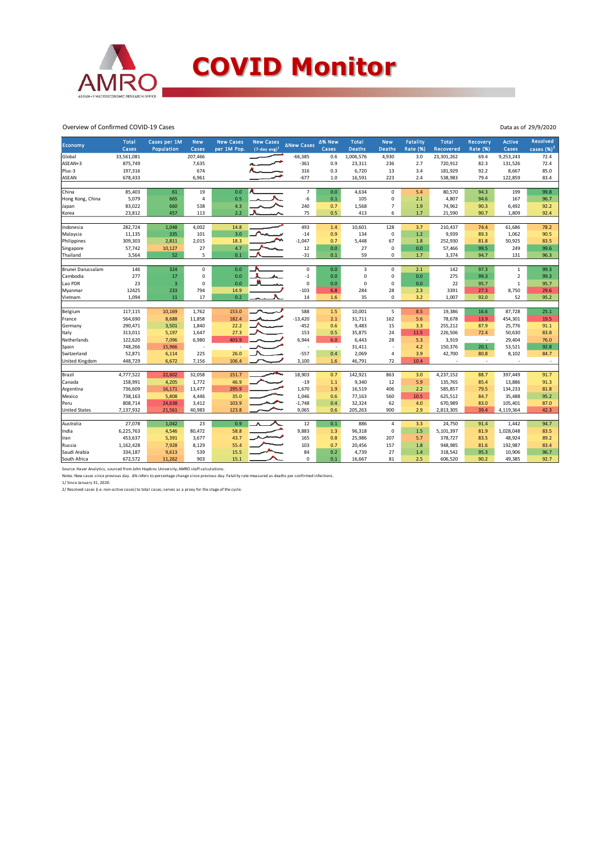

#### Overview of Confirmed COVID-19 Cases

| Economy               | <b>Total</b><br>Cases | Cases per 1M<br>Population | <b>New</b><br>Cases | <b>New Cases</b><br>per 1M Pop. | <b>New Cases</b><br>$(7$ -day avg) <sup>1</sup> | <b>ANew Cases</b> | ∆% New<br>Cases | <b>Total</b><br><b>Deaths</b> | <b>New</b><br><b>Deaths</b> | Fatality<br><b>Rate (%)</b> | <b>Total</b><br>Recovered | Recovery<br><b>Rate (%)</b> | <b>Active</b><br>Cases | <b>Resolved</b><br>cases $(%)2$ |
|-----------------------|-----------------------|----------------------------|---------------------|---------------------------------|-------------------------------------------------|-------------------|-----------------|-------------------------------|-----------------------------|-----------------------------|---------------------------|-----------------------------|------------------------|---------------------------------|
| Global                | 33,561,081            |                            | 207,466             |                                 |                                                 | $-66,385$         | 0.6             | 1,006,576                     | 4,930                       | 3.0                         | 23,301,262                | 69.4                        | 9,253,243              | 72.4                            |
| ASEAN+3               | 875,749               |                            | 7,635               |                                 |                                                 | $-361$            | 0.9             | 23,311                        | 236                         | 2.7                         | 720,912                   | 82.3                        | 131,526                | 72.4                            |
| Plus-3                | 197,316               |                            | 674                 |                                 |                                                 | 316               | 0.3             | 6,720                         | 13                          | 3.4                         | 181,929                   | 92.2                        | 8,667                  | 85.0                            |
| <b>ASEAN</b>          | 678,433               |                            | 6,961               |                                 |                                                 | $-677$            | 1.0             | 16,591                        | 223                         | 2.4                         | 538,983                   | 79.4                        | 122,859                | 83.4                            |
|                       |                       |                            |                     |                                 |                                                 |                   |                 |                               |                             |                             |                           |                             |                        |                                 |
| China                 | 85,403                | 61                         | 19                  | 0.0                             |                                                 | $\overline{7}$    | 0.0             | 4,634                         | 0                           | 5.4                         | 80,570                    | 94.3                        | 199                    | 99.8                            |
| Hong Kong, China      | 5,079                 | 665                        | $\overline{4}$      | 0.5                             |                                                 | -6                | 0.1             | 105                           | $\mathbf 0$                 | 2.1                         | 4,807                     | 94.6                        | 167                    | 96.7                            |
| Japan                 | 83,022                | 660                        | 538                 | 4.3                             |                                                 | 240               | 0.7             | 1,568                         | $\overline{7}$              | 1.9                         | 74,962                    | 90.3                        | 6,492                  | 92.2                            |
| Korea                 | 23,812                | 457                        | 113                 | 2.2                             |                                                 | 75                | 0.5             | 413                           | 6                           | 1.7                         | 21,590                    | 90.7                        | 1,809                  | 92.4                            |
|                       |                       |                            |                     |                                 |                                                 |                   |                 |                               |                             |                             |                           |                             |                        |                                 |
| Indonesia             | 282,724               | 1,048                      | 4,002               | 14.8                            |                                                 | 493               | 1.4             | 10,601                        | 128                         | 3.7                         | 210,437                   | 74.4                        | 61,686                 | 78.2                            |
| Malaysia              | 11,135                | 335                        | 101                 | 3.0                             |                                                 | $-14$             | 0.9             | 134                           | $\mathbf 0$                 | 1.2                         | 9,939                     | 89.3                        | 1,062                  | 90.5                            |
| Philippines           | 309,303               | 2,811                      | 2,015               | 18.3                            |                                                 | $-1,047$          | 0.7             | 5,448                         | 67                          | 1.8                         | 252,930                   | 81.8                        | 50,925                 | 83.5                            |
| Singapore             | 57,742                | 10,127                     | 27                  | 4.7                             |                                                 | 12                | 0.0             | 27                            | $\Omega$                    | 0.0                         | 57,466                    | 99.5                        | 249                    | 99.6                            |
| Thailand              | 3,564                 | 52                         | 5                   | 0.1                             |                                                 | $-31$             | 0.1             | 59                            | 0                           | 1.7                         | 3,374                     | 94.7                        | 131                    | 96.3                            |
|                       |                       |                            |                     |                                 |                                                 |                   |                 |                               |                             |                             |                           |                             |                        |                                 |
| Brunei Darussalam     | 146                   | 324                        | $\pmb{0}$           | 0.0                             |                                                 | $\mathbf 0$       | 0.0             | 3                             | $\mathbf 0$                 | 2.1                         | 142                       | 97.3                        | $\mathbf{1}$           | 99.3                            |
| Cambodia              | 277                   | 17                         | 0                   | 0.0                             | л<br>As                                         | $^{\rm -1}$       | 0.0             | 0                             | 0                           | 0.0                         | 275                       | 99.3                        | $\overline{2}$         | 99.3                            |
| Lao PDR               | 23                    | $\overline{\mathbf{3}}$    | $\mathbf 0$         | 0.0                             |                                                 | $\mathbf 0$       | 0.0             | 0                             | $\mathbf 0$                 | 0.0                         | 22                        | 95.7                        | $\mathbf{1}$           | 95.7                            |
| Myanmar               | 12425                 | 233                        | 794                 | 14.9                            |                                                 | $-103$            | 6.8             | 284                           | 28                          | 2.3                         | 3391                      | 27.3                        | 8,750                  | 29.6                            |
| Vietnam               | 1.094                 | 11                         | 17                  | 0.2                             |                                                 | 14                | 1.6             | 35                            | $\mathbf 0$                 | 3.2                         | 1.007                     | 92.0                        | 52                     | 95.2                            |
|                       |                       |                            |                     |                                 |                                                 |                   |                 |                               |                             |                             |                           |                             |                        |                                 |
| Belgium               | 117,115               | 10,169                     | 1,762               | 153.0                           |                                                 | 588<br>$-13,420$  | 1.5             | 10,001                        | 5                           | 8.5                         | 19,386                    | 16.6                        | 87,728                 | 25.1                            |
| France                | 564,690               | 8,688                      | 11,858              | 182.4                           |                                                 |                   | 2.1             | 31,711                        | 162                         | 5.6                         | 78,678                    | 13.9                        | 454,301                | 19.5                            |
| Germany               | 290,471               | 3,501                      | 1,840               | 22.2                            |                                                 | $-452$            | 0.6             | 9,483                         | 15                          | 3.3                         | 255,212                   | 87.9                        | 25,776                 | 91.1                            |
| Italy                 | 313,011               | 5,197                      | 1,647               | 27.3                            |                                                 | 153               | 0.5             | 35,875                        | 24                          | 11.5                        | 226,506                   | 72.4                        | 50,630                 | 83.8                            |
| Netherlands           | 122,620               | 7,096                      | 6,980               | 403.9                           |                                                 | 6,944             | 6.0             | 6.443                         | 28                          | 5.3                         | 3,919                     | $\blacksquare$              | 29,404                 | 76.0                            |
| Spain                 | 748,266               | 15,966                     |                     |                                 |                                                 |                   | ÷.              | 31,411                        |                             | 4.2                         | 150,376                   | 20.1                        | 53,521                 | 92.8                            |
| Switzerland           | 52,871                | 6,114                      | 225                 | 26.0                            |                                                 | $-557$            | 0.4             | 2,069                         | $\overline{a}$              | 3.9                         | 42,700                    | 80.8                        | 8,102                  | 84.7                            |
| <b>United Kingdom</b> | 448,729               | 6,672                      | 7,156               | 106.4                           |                                                 | 3,100             | 1.6             | 46,791                        | 72                          | 10.4                        |                           |                             |                        | $\sim$                          |
| Brazil                | 4,777,522             | 22,602                     | 32,058              | 151.7                           | ᅭ                                               | 18,903            | 0.7             | 142,921                       | 863                         | 3.0                         | 4,237,152                 | 88.7                        | 397,449                | 91.7                            |
| Canada                | 158,991               | 4,205                      | 1,772               | 46.9                            |                                                 | $-19$             | 1.1             | 9,340                         | 12                          | 5.9                         | 135,765                   | 85.4                        | 13,886                 | 91.3                            |
| Argentina             | 736,609               | 16,171                     | 13,477              | 295.9                           |                                                 | 1,670             | 1.9             | 16,519                        | 406                         | 2.2                         | 585,857                   | 79.5                        | 134,233                | 81.8                            |
| Mexico                | 738,163               | 5,808                      | 4,446               | 35.0                            |                                                 | 1,046             | 0.6             | 77,163                        | 560                         | 10.5                        | 625,512                   | 84.7                        | 35,488                 | 95.2                            |
| Peru                  | 808,714               | 24,638                     | 3,412               | 103.9                           |                                                 | $-1,748$          | 0.4             | 32,324                        | 62                          | 4.0                         | 670,989                   | 83.0                        | 105,401                | 87.0                            |
| <b>United States</b>  | 7,137,932             | 21,561                     | 40,983              | 123.8                           |                                                 | 9,065             | 0.6             | 205,263                       | 900                         | 2.9                         | 2,813,305                 | 39.4                        | 4,119,364              | 42.3                            |
|                       |                       |                            |                     |                                 |                                                 |                   |                 |                               |                             |                             |                           |                             |                        |                                 |
| Australia             | 27,078                | 1,042                      | 23                  | 0.9                             |                                                 | 12                | 0.1             | 886                           | 4                           | 3.3                         | 24,750                    | 91.4                        | 1,442                  | 94.7                            |
| India                 | 6,225,763             | 4,546                      | 80,472              | 58.8                            |                                                 | 9,883             | 1.3             | 96,318                        | $\pmb{0}$                   | 1.5                         | 5,101,397                 | 81.9                        | 1,028,048              | 83.5                            |
| Iran                  | 453,637               | 5,391                      | 3,677               | 43.7                            |                                                 | 165               | 0.8             | 25,986                        | 207                         | 5.7                         | 378,727                   | 83.5                        | 48,924                 | 89.2                            |
| Russia                | 1,162,428             | 7,928                      | 8,129               | 55.4                            |                                                 | 103               | 0.7             | 20,456                        | 157                         | 1.8                         | 948,985                   | 81.6                        | 192,987                | 83.4                            |
| Saudi Arabia          | 334,187               | 9,613                      | 539                 | 15.5                            |                                                 | 84                | 0.2             | 4,739                         | 27                          | 1.4                         | 318,542                   | 95.3                        | 10,906                 | 96.7                            |
| South Africa          | 672,572               | 11,262                     | 903                 | 15.1                            |                                                 | $\mathbf 0$       | 0.1             | 16,667                        | 81                          | 2.5                         | 606,520                   | 90.2                        | 49,385                 | 92.7                            |
|                       |                       |                            |                     |                                 |                                                 |                   |                 |                               |                             |                             |                           |                             |                        |                                 |

Source: Haver Analytics, sourced from John Hopkins University; AMRO staff calculations.<br>Notes: New cases since previous day. ∆% refers to percentage change since previous day. Fatality rate measured as deaths per confirmed

#### Data as of 29/9/2020